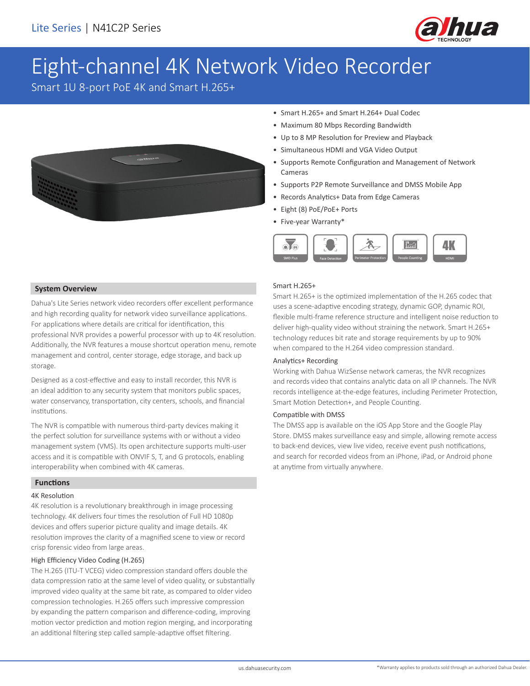

# Eight-channel 4K Network Video Recorder

Smart 1U 8-port PoE 4K and Smart H.265+



- Smart H.265+ and Smart H.264+ Dual Codec
- Maximum 80 Mbps Recording Bandwidth
- Up to 8 MP Resolution for Preview and Playback
- Simultaneous HDMI and VGA Video Output
- Supports Remote Configuration and Management of Network Cameras
- Supports P2P Remote Surveillance and DMSS Mobile App
- Records Analytics+ Data from Edge Cameras
- Eight (8) PoE/PoE+ Ports
- Five-year Warranty\*



### **System Overview**

Dahua's Lite Series network video recorders offer excellent performance and high recording quality for network video surveillance applications. For applications where details are critical for identification, this professional NVR provides a powerful processor with up to 4K resolution. Additionally, the NVR features a mouse shortcut operation menu, remote management and control, center storage, edge storage, and back up storage.

Designed as a cost-effective and easy to install recorder, this NVR is an ideal addition to any security system that monitors public spaces, water conservancy, transportation, city centers, schools, and financial institutions.

The NVR is compatible with numerous third-party devices making it the perfect solution for surveillance systems with or without a video management system (VMS). Its open architecture supports multi-user access and it is compatible with ONVIF S, T, and G protocols, enabling interoperability when combined with 4K cameras.

### **Functions**

### 4K Resolution

4K resolution is a revolutionary breakthrough in image processing technology. 4K delivers four times the resolution of Full HD 1080p devices and offers superior picture quality and image details. 4K resolution improves the clarity of a magnified scene to view or record crisp forensic video from large areas.

### High Efficiency Video Coding (H.265)

The H.265 (ITU-T VCEG) video compression standard offers double the data compression ratio at the same level of video quality, or substantially improved video quality at the same bit rate, as compared to older video compression technologies. H.265 offers such impressive compression by expanding the pattern comparison and difference-coding, improving motion vector prediction and motion region merging, and incorporating an additional filtering step called sample-adaptive offset filtering.

### Smart H.265+

Smart H.265+ is the optimized implementation of the H.265 codec that uses a scene-adaptive encoding strategy, dynamic GOP, dynamic ROI, flexible multi-frame reference structure and intelligent noise reduction to deliver high-quality video without straining the network. Smart H.265+ technology reduces bit rate and storage requirements by up to 90% when compared to the H.264 video compression standard.

### Analytics+ Recording

Working with Dahua WizSense network cameras, the NVR recognizes and records video that contains analytic data on all IP channels. The NVR records intelligence at-the-edge features, including Perimeter Protection, Smart Motion Detection+, and People Counting.

### Compatible with DMSS

The DMSS app is available on the iOS App Store and the Google Play Store. DMSS makes surveillance easy and simple, allowing remote access to back-end devices, view live video, receive event push notifications, and search for recorded videos from an iPhone, iPad, or Android phone at anytime from virtually anywhere.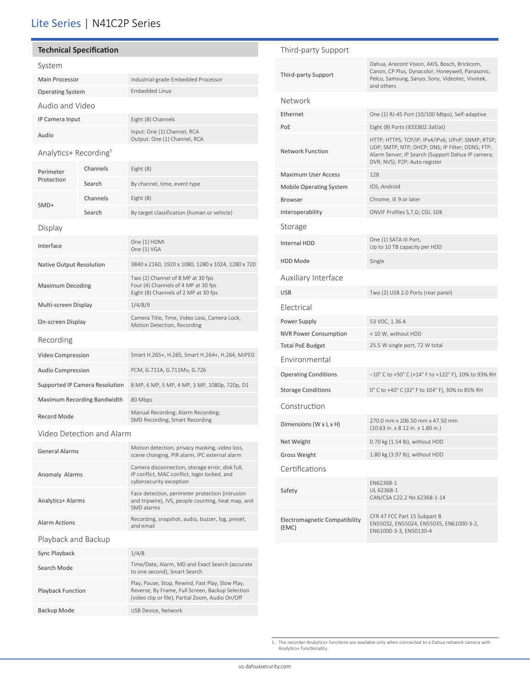## Lite Series | N41C2P Series

### **Technical Specification**

| System                            |          |                                                                                                                                                          |  |  |  |  |
|-----------------------------------|----------|----------------------------------------------------------------------------------------------------------------------------------------------------------|--|--|--|--|
| <b>Main Processor</b>             |          | Industrial-grade Embedded Processor                                                                                                                      |  |  |  |  |
| <b>Operating System</b>           |          | Embedded Linux                                                                                                                                           |  |  |  |  |
| Audio and Video                   |          |                                                                                                                                                          |  |  |  |  |
| IP Camera Input                   |          | Eight (8) Channels                                                                                                                                       |  |  |  |  |
| Audio                             |          | Input: One (1) Channel, RCA<br>Output: One (1) Channel, RCA                                                                                              |  |  |  |  |
| Analytics+ Recording <sup>1</sup> |          |                                                                                                                                                          |  |  |  |  |
| Perimeter<br>Protection           | Channels | Eight (8)                                                                                                                                                |  |  |  |  |
|                                   | Search   | By channel, time, event type                                                                                                                             |  |  |  |  |
| SMD+                              | Channels | Eight (8)                                                                                                                                                |  |  |  |  |
|                                   | Search   | By target classification (human or vehicle)                                                                                                              |  |  |  |  |
| Display                           |          |                                                                                                                                                          |  |  |  |  |
| Interface                         |          | One (1) HDMI<br>One (1) VGA                                                                                                                              |  |  |  |  |
| Native Output Resolution          |          | 3840 x 2160, 1920 x 1080, 1280 x 1024, 1280 x 720                                                                                                        |  |  |  |  |
| <b>Maximum Decoding</b>           |          | Two (2) Channel of 8 MP at 30 fps<br>Four (4) Channels of 4 MP at 30 fps<br>Eight (8) Channels of 2 MP at 30 fps                                         |  |  |  |  |
| Multi-screen Display              |          | 1/4/8/9                                                                                                                                                  |  |  |  |  |
| On-screen Display                 |          | Camera Title, Time, Video Loss, Camera Lock,<br>Motion Detection, Recording                                                                              |  |  |  |  |
| Recording                         |          |                                                                                                                                                          |  |  |  |  |
| Video Compression                 |          | Smart H.265+, H.265, Smart H.264+, H.264, MJPEG                                                                                                          |  |  |  |  |
| <b>Audio Compression</b>          |          | PCM, G.711A, G.711Mu, G.726                                                                                                                              |  |  |  |  |
| Supported IP Camera Resolution    |          | 8 MP, 6 MP, 5 MP, 4 MP, 3 MP, 1080p, 720p, D1                                                                                                            |  |  |  |  |
| Maximum Recording Bandwidth       |          | 80 Mbps                                                                                                                                                  |  |  |  |  |
| Record Mode                       |          | Manual Recording; Alarm Recording;<br>SMD Recording; Smart Recording                                                                                     |  |  |  |  |
| Video Detection and Alarm         |          |                                                                                                                                                          |  |  |  |  |
| <b>General Alarms</b>             |          | Motion detection, privacy masking, video loss,<br>scene changing, PIR alarm, IPC external alarm                                                          |  |  |  |  |
| Anomaly Alarms                    |          | Camera disconnection, storage error, disk full,<br>IP conflict, MAC conflict, login locked, and<br>cybersecurity exception                               |  |  |  |  |
| Analytics+ Alarms                 |          | Face detection, perimeter protection (intrusion<br>and tripwire), IVS, people counting, heat map, and<br>SMD alarms                                      |  |  |  |  |
| <b>Alarm Actions</b>              |          | Recording, snapshot, audio, buzzer, log, preset,<br>and email                                                                                            |  |  |  |  |
| Playback and Backup               |          |                                                                                                                                                          |  |  |  |  |
| Sync Playback                     |          | 1/4/8                                                                                                                                                    |  |  |  |  |
| Search Mode                       |          | Time/Date, Alarm, MD and Exact Search (accurate<br>to one second), Smart Search                                                                          |  |  |  |  |
| <b>Playback Function</b>          |          | Play, Pause, Stop, Rewind, Fast Play, Slow Play,<br>Reverse, By Frame, Full Screen, Backup Selection<br>(video clip or file), Partial Zoom, Audio On/Off |  |  |  |  |
| Backup Mode                       |          | USB Device, Network                                                                                                                                      |  |  |  |  |

### Third-party Support Third-party Support Dahua, Arecont Vision, AXIS, Bosch, Brickcom, Canon, CP Plus, Dynacolor, Honeywell, Panasonic, Pelco, Samsung, Sanyo, Sony, Videotec, Vivotek, and others Network Ethernet One (1) RJ-45 Port (10/100 Mbps), Self-adaptive PoE Eight (8) Ports (IEEE802.3af/at) Network Function HTTP; HTTPS; TCP/IP; IPv4/IPv6; UPnP; SNMP; RTSP; UDP; SMTP; NTP; DHCP; DNS; IP Filter; DDNS; FTP; Alarm Server; IP Search (Support Dahua IP camera; DVR; NVS); P2P; Auto register Maximum User Access 128 Mobile Operating System IOS, Android Browser Chrome, IE 9 or later Interoperability ONVIF Profiles S,T,G; CGI, SDK Storage Internal HDD One (1) SATA III Port, Up to 10 TB capacity per HDD HDD Mode Single Auxiliary Interface USB USB Two (2) USB 2.0 Ports (rear panel) Electrical Power Supply 53 VDC, 1.36 A NVR Power Consumption < 10 W, without HDD Total PoE Budget 25.5 W single port, 72 W total Environmental Operating Conditions –10° C to +50° C (+14° F to +122° F), 10% to 93% RH Storage Conditions 0° C to +40° C (32° F to 104° F), 30% to 85% RH Construction Dimensions (W x L x H) 270.0 mm x 206.50 mm x 47.50 mm (10.63 in. x 8.12 in. x 1.80 in.) Net Weight 0.70 kg (1.54 lb), without HDD Gross Weight 1.80 kg (3.97 lb), without HDD Certifications Safety EN62368-1 UL 62368-1 CAN/CSA C22.2 No.62368-1-14 Electromagnetic Compatibility (EMC) CFR 47 FCC Part 15 Subpart B EN55032, EN55024, EN55035, EN61000-3-2, EN61000-3-3, EN50130-4

<sup>1.</sup> The recorder Analytics+ functions are available only when connected to a Dahua network camera with Analytics+ functionality.